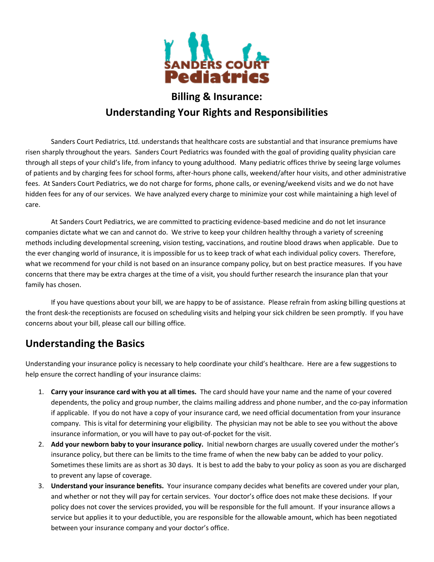

# **Billing & Insurance: Understanding Your Rights and Responsibilities**

Sanders Court Pediatrics, Ltd. understands that healthcare costs are substantial and that insurance premiums have risen sharply throughout the years. Sanders Court Pediatrics was founded with the goal of providing quality physician care through all steps of your child's life, from infancy to young adulthood. Many pediatric offices thrive by seeing large volumes of patients and by charging fees for school forms, after-hours phone calls, weekend/after hour visits, and other administrative fees. At Sanders Court Pediatrics, we do not charge for forms, phone calls, or evening/weekend visits and we do not have hidden fees for any of our services. We have analyzed every charge to minimize your cost while maintaining a high level of care.

At Sanders Court Pediatrics, we are committed to practicing evidence-based medicine and do not let insurance companies dictate what we can and cannot do. We strive to keep your children healthy through a variety of screening methods including developmental screening, vision testing, vaccinations, and routine blood draws when applicable. Due to the ever changing world of insurance, it is impossible for us to keep track of what each individual policy covers. Therefore, what we recommend for your child is not based on an insurance company policy, but on best practice measures. If you have concerns that there may be extra charges at the time of a visit, you should further research the insurance plan that your family has chosen.

If you have questions about your bill, we are happy to be of assistance. Please refrain from asking billing questions at the front desk-the receptionists are focused on scheduling visits and helping your sick children be seen promptly. If you have concerns about your bill, please call our billing office.

### **Understanding the Basics**

Understanding your insurance policy is necessary to help coordinate your child's healthcare. Here are a few suggestions to help ensure the correct handling of your insurance claims:

- 1. **Carry your insurance card with you at all times.** The card should have your name and the name of your covered dependents, the policy and group number, the claims mailing address and phone number, and the co-pay information if applicable. If you do not have a copy of your insurance card, we need official documentation from your insurance company. This is vital for determining your eligibility. The physician may not be able to see you without the above insurance information, or you will have to pay out-of-pocket for the visit.
- 2. **Add your newborn baby to your insurance policy.** Initial newborn charges are usually covered under the mother's insurance policy, but there can be limits to the time frame of when the new baby can be added to your policy. Sometimes these limits are as short as 30 days. It is best to add the baby to your policy as soon as you are discharged to prevent any lapse of coverage.
- 3. **Understand your insurance benefits.** Your insurance company decides what benefits are covered under your plan, and whether or not they will pay for certain services. Your doctor's office does not make these decisions. If your policy does not cover the services provided, you will be responsible for the full amount. If your insurance allows a service but applies it to your deductible, you are responsible for the allowable amount, which has been negotiated between your insurance company and your doctor's office.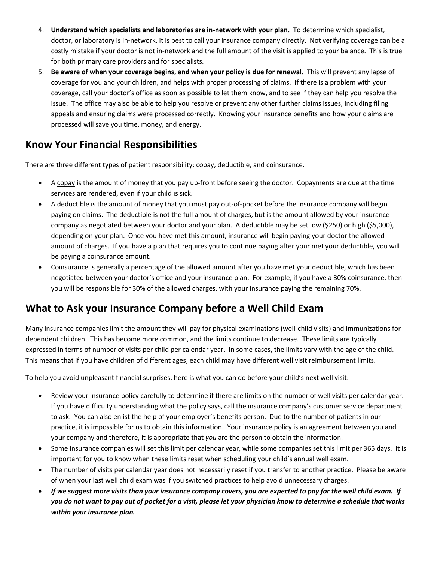- 4. **Understand which specialists and laboratories are in-network with your plan.** To determine which specialist, doctor, or laboratory is in-network, it is best to call your insurance company directly. Not verifying coverage can be a costly mistake if your doctor is not in-network and the full amount of the visit is applied to your balance. This is true for both primary care providers and for specialists.
- 5. **Be aware of when your coverage begins, and when your policy is due for renewal.** This will prevent any lapse of coverage for you and your children, and helps with proper processing of claims. If there is a problem with your coverage, call your doctor's office as soon as possible to let them know, and to see if they can help you resolve the issue. The office may also be able to help you resolve or prevent any other further claims issues, including filing appeals and ensuring claims were processed correctly. Knowing your insurance benefits and how your claims are processed will save you time, money, and energy.

### **Know Your Financial Responsibilities**

There are three different types of patient responsibility: copay, deductible, and coinsurance.

- A copay is the amount of money that you pay up-front before seeing the doctor. Copayments are due at the time services are rendered, even if your child is sick.
- A deductible is the amount of money that you must pay out-of-pocket before the insurance company will begin paying on claims. The deductible is not the full amount of charges, but is the amount allowed by your insurance company as negotiated between your doctor and your plan. A deductible may be set low (\$250) or high (\$5,000), depending on your plan. Once you have met this amount, insurance will begin paying your doctor the allowed amount of charges. If you have a plan that requires you to continue paying after your met your deductible, you will be paying a coinsurance amount.
- Coinsurance is generally a percentage of the allowed amount after you have met your deductible, which has been negotiated between your doctor's office and your insurance plan. For example, if you have a 30% coinsurance, then you will be responsible for 30% of the allowed charges, with your insurance paying the remaining 70%.

### **What to Ask your Insurance Company before a Well Child Exam**

Many insurance companies limit the amount they will pay for physical examinations (well-child visits) and immunizations for dependent children. This has become more common, and the limits continue to decrease. These limits are typically expressed in terms of number of visits per child per calendar year. In some cases, the limits vary with the age of the child. This means that if you have children of different ages, each child may have different well visit reimbursement limits.

To help you avoid unpleasant financial surprises, here is what you can do before your child's next well visit:

- Review your insurance policy carefully to determine if there are limits on the number of well visits per calendar year. If you have difficulty understanding what the policy says, call the insurance company's customer service department to ask. You can also enlist the help of your employer's benefits person. Due to the number of patients in our practice, it is impossible for us to obtain this information. Your insurance policy is an agreement between you and your company and therefore, it is appropriate that *you* are the person to obtain the information.
- Some insurance companies will set this limit per calendar year, while some companies set this limit per 365 days. It is important for you to know when these limits reset when scheduling your child's annual well exam.
- The number of visits per calendar year does not necessarily reset if you transfer to another practice. Please be aware of when your last well child exam was if you switched practices to help avoid unnecessary charges.
- *If we suggest more visits than your insurance company covers, you are expected to pay for the well child exam. If you do not want to pay out of pocket for a visit, please let your physician know to determine a schedule that works within your insurance plan.*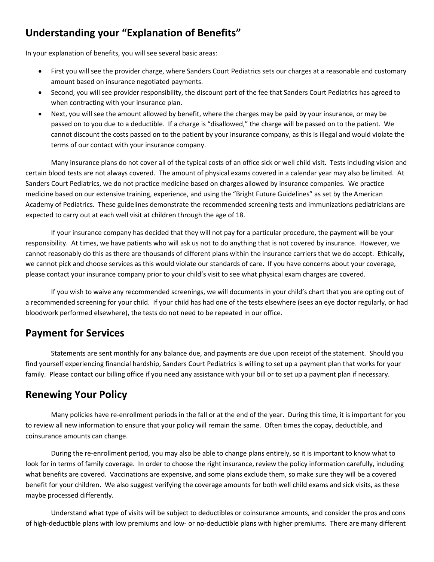## **Understanding your "Explanation of Benefits"**

In your explanation of benefits, you will see several basic areas:

- First you will see the provider charge, where Sanders Court Pediatrics sets our charges at a reasonable and customary amount based on insurance negotiated payments.
- Second, you will see provider responsibility, the discount part of the fee that Sanders Court Pediatrics has agreed to when contracting with your insurance plan.
- Next, you will see the amount allowed by benefit, where the charges may be paid by your insurance, or may be passed on to you due to a deductible. If a charge is "disallowed," the charge will be passed on to the patient. We cannot discount the costs passed on to the patient by your insurance company, as this is illegal and would violate the terms of our contact with your insurance company.

Many insurance plans do not cover all of the typical costs of an office sick or well child visit. Tests including vision and certain blood tests are not always covered. The amount of physical exams covered in a calendar year may also be limited. At Sanders Court Pediatrics, we do not practice medicine based on charges allowed by insurance companies. We practice medicine based on our extensive training, experience, and using the "Bright Future Guidelines" as set by the American Academy of Pediatrics. These guidelines demonstrate the recommended screening tests and immunizations pediatricians are expected to carry out at each well visit at children through the age of 18.

If your insurance company has decided that they will not pay for a particular procedure, the payment will be your responsibility. At times, we have patients who will ask us not to do anything that is not covered by insurance. However, we cannot reasonably do this as there are thousands of different plans within the insurance carriers that we do accept. Ethically, we cannot pick and choose services as this would violate our standards of care. If you have concerns about your coverage, please contact your insurance company prior to your child's visit to see what physical exam charges are covered.

If you wish to waive any recommended screenings, we will documents in your child's chart that you are opting out of a recommended screening for your child. If your child has had one of the tests elsewhere (sees an eye doctor regularly, or had bloodwork performed elsewhere), the tests do not need to be repeated in our office.

### **Payment for Services**

Statements are sent monthly for any balance due, and payments are due upon receipt of the statement. Should you find yourself experiencing financial hardship, Sanders Court Pediatrics is willing to set up a payment plan that works for your family. Please contact our billing office if you need any assistance with your bill or to set up a payment plan if necessary.

### **Renewing Your Policy**

Many policies have re-enrollment periods in the fall or at the end of the year. During this time, it is important for you to review all new information to ensure that your policy will remain the same. Often times the copay, deductible, and coinsurance amounts can change.

During the re-enrollment period, you may also be able to change plans entirely, so it is important to know what to look for in terms of family coverage. In order to choose the right insurance, review the policy information carefully, including what benefits are covered. Vaccinations are expensive, and some plans exclude them, so make sure they will be a covered benefit for your children. We also suggest verifying the coverage amounts for both well child exams and sick visits, as these maybe processed differently.

Understand what type of visits will be subject to deductibles or coinsurance amounts, and consider the pros and cons of high-deductible plans with low premiums and low- or no-deductible plans with higher premiums. There are many different